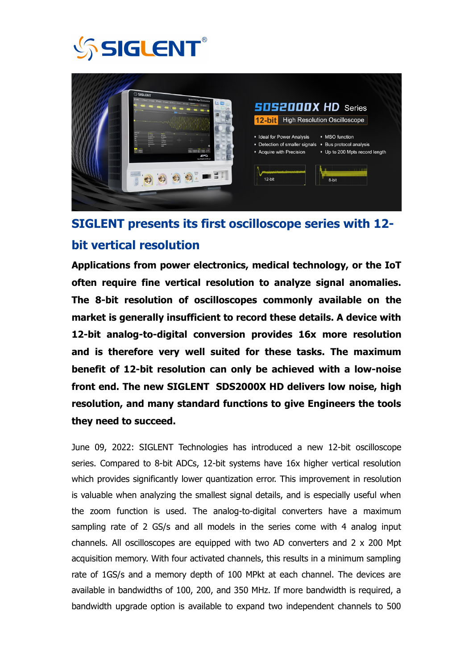



## **SIGLENT presents its first oscilloscope series with 12 bit vertical resolution**

**Applications from power electronics, medical technology, or the IoT often require fine vertical resolution to analyze signal anomalies. The 8-bit resolution of oscilloscopes commonly available on the market is generally insufficient to record these details. A device with 12-bit analog-to-digital conversion provides 16x more resolution and is therefore very well suited for these tasks. The maximum benefit of 12-bit resolution can only be achieved with a low-noise front end. The new SIGLENT SDS2000X HD delivers low noise, high resolution, and many standard functions to give Engineers the tools they need to succeed.** 

June 09, 2022: SIGLENT Technologies has introduced a new 12-bit oscilloscope series. Compared to 8-bit ADCs, 12-bit systems have 16x higher vertical resolution which provides significantly lower quantization error. This improvement in resolution is valuable when analyzing the smallest signal details, and is especially useful when the zoom function is used. The analog-to-digital converters have a maximum sampling rate of 2 GS/s and all models in the series come with 4 analog input channels. All oscilloscopes are equipped with two AD converters and 2 x 200 Mpt acquisition memory. With four activated channels, this results in a minimum sampling rate of 1GS/s and a memory depth of 100 MPkt at each channel. The devices are available in bandwidths of 100, 200, and 350 MHz. If more bandwidth is required, a bandwidth upgrade option is available to expand two independent channels to 500